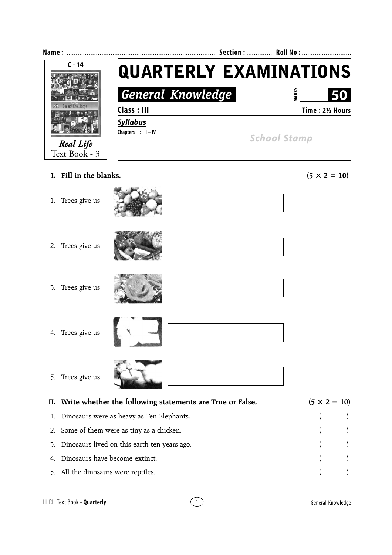